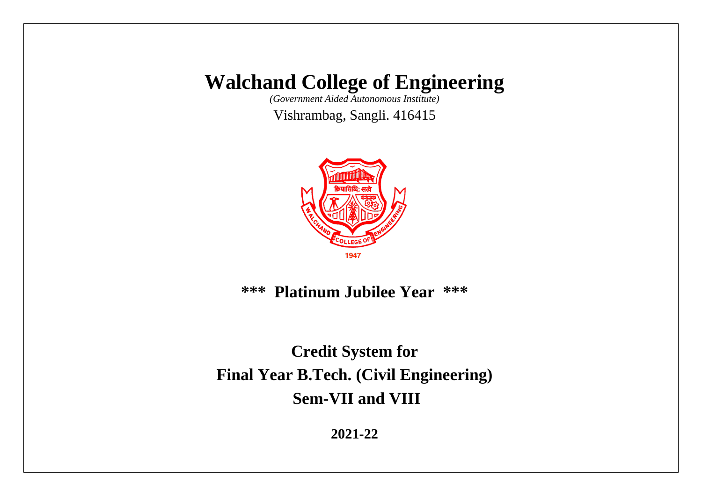*(Government Aided Autonomous Institute)*

Vishrambag, Sangli. 416415



**\*\*\* Platinum Jubilee Year \*\*\***

**Credit System for Final Year B.Tech. (Civil Engineering) Sem-VII and VIII**

**2021-22**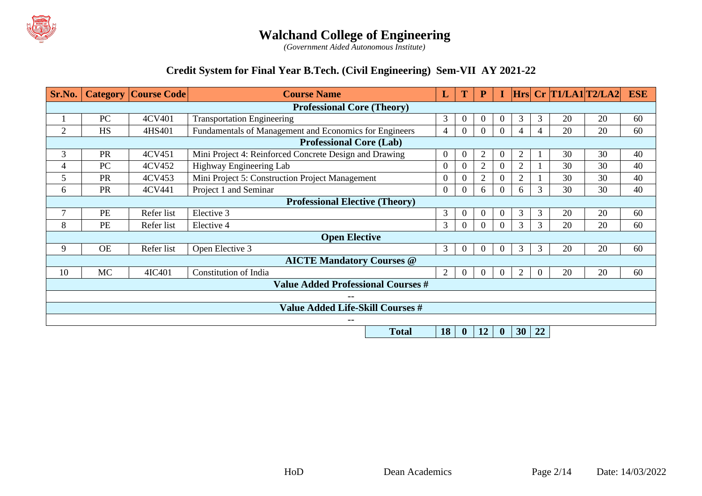

*(Government Aided Autonomous Institute)*

#### **Credit System for Final Year B.Tech. (Civil Engineering) Sem-VII AY 2021-22**

| Sr.No.         |                                   | <b>Category   Course Code  </b> | <b>Course Name</b>                                                               | L                                                                   |                  | $\mathbf P$     |                |                |                | $\vert$ Hrs $\vert$ Cr $\vert$ T1/LA1 $\vert$ T2/LA2 $\vert$ |    | <b>ESE</b> |
|----------------|-----------------------------------|---------------------------------|----------------------------------------------------------------------------------|---------------------------------------------------------------------|------------------|-----------------|----------------|----------------|----------------|--------------------------------------------------------------|----|------------|
|                | <b>Professional Core (Theory)</b> |                                 |                                                                                  |                                                                     |                  |                 |                |                |                |                                                              |    |            |
|                | PC                                | 4CV401                          | <b>Transportation Engineering</b>                                                | $\overline{3}$                                                      | $\overline{0}$   |                 | $\theta$       | 3              | 3              | 20                                                           | 20 | 60         |
| $\overline{2}$ | <b>HS</b>                         | 4HS401                          | Fundamentals of Management and Economics for Engineers                           | 4                                                                   | $\overline{0}$   |                 | $\overline{0}$ | 4              | 4              | 20                                                           | 20 | 60         |
|                |                                   |                                 | <b>Professional Core (Lab)</b>                                                   |                                                                     |                  |                 |                |                |                |                                                              |    |            |
| 3              | <b>PR</b>                         | 4CV451                          | Mini Project 4: Reinforced Concrete Design and Drawing                           | $\Omega$                                                            | $\boldsymbol{0}$ | $\overline{2}$  | $\Omega$       | 2              |                | 30                                                           | 30 | 40         |
| 4              | PC                                | 4CV452                          | Highway Engineering Lab                                                          | $\Omega$                                                            | $\Omega$         | $\overline{2}$  | $\Omega$       | 2              |                | 30                                                           | 30 | 40         |
| 5              | <b>PR</b>                         | 4CV453                          | Mini Project 5: Construction Project Management                                  | $\theta$                                                            | $\theta$         | $\overline{2}$  | $\Omega$       | $\overline{2}$ |                | 30                                                           | 30 | 40         |
| 6              | PR                                | 4CV441                          | Project 1 and Seminar                                                            | $\Omega$                                                            | $\boldsymbol{0}$ | 6               |                | 6              | 3              | 30                                                           | 30 | 40         |
|                |                                   |                                 | <b>Professional Elective (Theory)</b>                                            |                                                                     |                  |                 |                |                |                |                                                              |    |            |
| 7              | <b>PE</b>                         | Refer list                      | Elective 3                                                                       | 3<br>20<br>20<br>3<br>$\boldsymbol{0}$<br>3<br>$\Omega$<br>$\Omega$ |                  |                 |                |                |                | 60                                                           |    |            |
| 8              | PE                                | Refer list                      | 3<br>20<br>3 <sup>1</sup><br>3<br>Elective 4<br>$\Omega$<br>$\Omega$<br>$\Omega$ |                                                                     |                  |                 |                |                | 20             | 60                                                           |    |            |
|                |                                   |                                 | <b>Open Elective</b>                                                             |                                                                     |                  |                 |                |                |                |                                                              |    |            |
| 9              | <b>OE</b>                         | Refer list                      | Open Elective 3                                                                  | 3 <sup>1</sup>                                                      | $\overline{0}$   | $\theta$        | $\Omega$       | 3              | 3              | 20                                                           | 20 | 60         |
|                |                                   |                                 | <b>AICTE Mandatory Courses @</b>                                                 |                                                                     |                  |                 |                |                |                |                                                              |    |            |
| 10             | MC                                | 4IC401                          | Constitution of India                                                            | 2                                                                   | $\theta$         | $\Omega$        | $\Omega$       | $\overline{2}$ | $\overline{0}$ | 20                                                           | 20 | 60         |
|                |                                   |                                 | <b>Value Added Professional Courses #</b>                                        |                                                                     |                  |                 |                |                |                |                                                              |    |            |
|                |                                   |                                 |                                                                                  |                                                                     |                  |                 |                |                |                |                                                              |    |            |
|                |                                   |                                 | <b>Value Added Life-Skill Courses #</b>                                          |                                                                     |                  |                 |                |                |                |                                                              |    |            |
|                |                                   |                                 | $\qquad \qquad -$                                                                |                                                                     |                  |                 |                |                |                |                                                              |    |            |
|                |                                   |                                 | Total                                                                            | 18 <sup>1</sup>                                                     | $\mathbf{0}$     | 12 <sub>1</sub> | $\mathbf{0}$   | $30 \mid 22$   |                |                                                              |    |            |

**Total 18 0 12 0 30 22**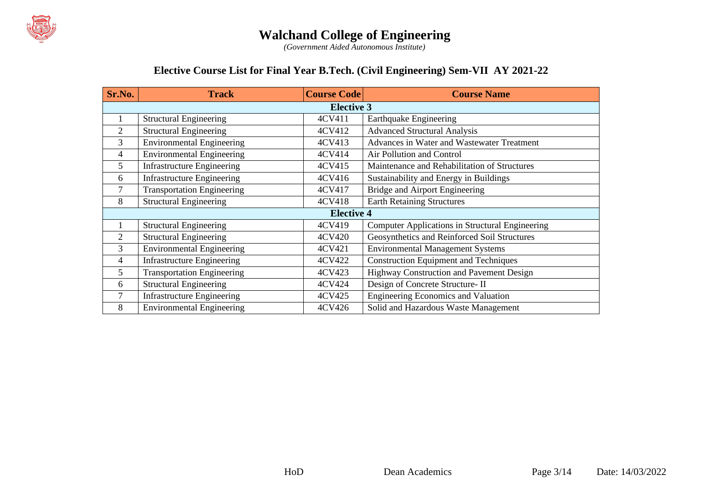

*(Government Aided Autonomous Institute)*

#### **Elective Course List for Final Year B.Tech. (Civil Engineering) Sem-VII AY 2021-22**

| Sr.No. | <b>Track</b>                      | <b>Course Code</b> | <b>Course Name</b>                              |
|--------|-----------------------------------|--------------------|-------------------------------------------------|
|        |                                   | <b>Elective 3</b>  |                                                 |
|        | <b>Structural Engineering</b>     | 4CV411             | <b>Earthquake Engineering</b>                   |
| 2      | <b>Structural Engineering</b>     | 4CV412             | <b>Advanced Structural Analysis</b>             |
| 3      | <b>Environmental Engineering</b>  | 4CV413             | Advances in Water and Wastewater Treatment      |
| 4      | <b>Environmental Engineering</b>  | 4CV414             | Air Pollution and Control                       |
| 5      | <b>Infrastructure Engineering</b> | 4CV415             | Maintenance and Rehabilitation of Structures    |
| 6      | <b>Infrastructure Engineering</b> | 4CV416             | Sustainability and Energy in Buildings          |
| 7      | <b>Transportation Engineering</b> | 4CV417             | Bridge and Airport Engineering                  |
| 8      | <b>Structural Engineering</b>     | 4CV418             | <b>Earth Retaining Structures</b>               |
|        |                                   | <b>Elective 4</b>  |                                                 |
|        | <b>Structural Engineering</b>     | 4CV419             | Computer Applications in Structural Engineering |
| 2      | <b>Structural Engineering</b>     | 4CV420             | Geosynthetics and Reinforced Soil Structures    |
| 3      | <b>Environmental Engineering</b>  | 4CV421             | <b>Environmental Management Systems</b>         |
| 4      | <b>Infrastructure Engineering</b> | 4CV422             | <b>Construction Equipment and Techniques</b>    |
| 5      | <b>Transportation Engineering</b> | 4CV423             | Highway Construction and Pavement Design        |
| 6      | <b>Structural Engineering</b>     | 4CV424             | Design of Concrete Structure- II                |
| 7      | <b>Infrastructure Engineering</b> | 4CV425             | Engineering Economics and Valuation             |
| 8      | <b>Environmental Engineering</b>  | 4CV426             | Solid and Hazardous Waste Management            |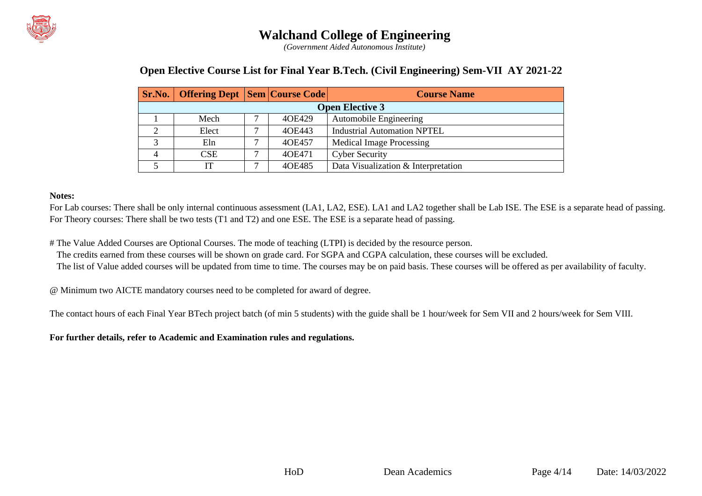

*(Government Aided Autonomous Institute)*

#### **Open Elective Course List for Final Year B.Tech. (Civil Engineering) Sem-VII AY 2021-22**

|   | <b>Sr.No.</b>   Offering Dept   Sem   Course Code |   |        | <b>Course Name</b>                  |  |  |  |  |  |  |
|---|---------------------------------------------------|---|--------|-------------------------------------|--|--|--|--|--|--|
|   | <b>Open Elective 3</b>                            |   |        |                                     |  |  |  |  |  |  |
|   | Mech                                              | ⇁ | 40E429 | Automobile Engineering              |  |  |  |  |  |  |
|   | Elect                                             | ⇁ | 40E443 | <b>Industrial Automation NPTEL</b>  |  |  |  |  |  |  |
| ⌒ | Eln                                               | ⇁ | 40E457 | <b>Medical Image Processing</b>     |  |  |  |  |  |  |
| 4 | <b>CSE</b>                                        | ⇁ | 40E471 | <b>Cyber Security</b>               |  |  |  |  |  |  |
|   | IΤ                                                | − | 40E485 | Data Visualization & Interpretation |  |  |  |  |  |  |

#### **Notes:**

For Lab courses: There shall be only internal continuous assessment (LA1, LA2, ESE). LA1 and LA2 together shall be Lab ISE. The ESE is a separate head of passing. For Theory courses: There shall be two tests (T1 and T2) and one ESE. The ESE is a separate head of passing.

# The Value Added Courses are Optional Courses. The mode of teaching (LTPI) is decided by the resource person.

The credits earned from these courses will be shown on grade card. For SGPA and CGPA calculation, these courses will be excluded.

The list of Value added courses will be updated from time to time. The courses may be on paid basis. These courses will be offered as per availability of faculty.

@ Minimum two AICTE mandatory courses need to be completed for award of degree.

The contact hours of each Final Year BTech project batch (of min 5 students) with the guide shall be 1 hour/week for Sem VII and 2 hours/week for Sem VIII.

**For further details, refer to Academic and Examination rules and regulations.**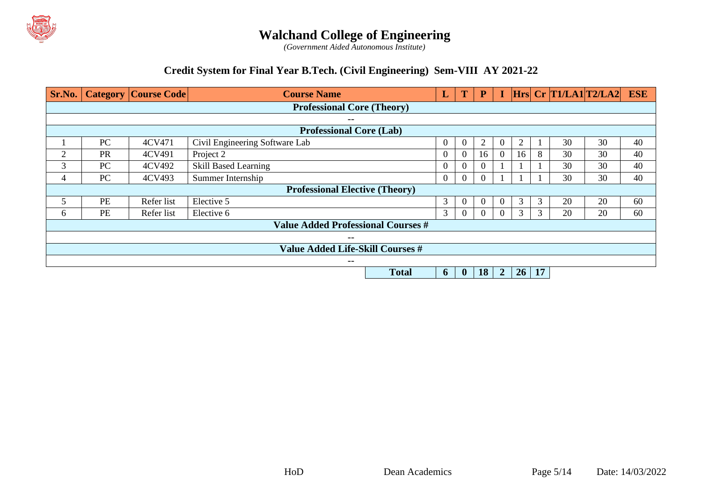

*(Government Aided Autonomous Institute)*

#### **Credit System for Final Year B.Tech. (Civil Engineering) Sem-VIII AY 2021-22**

| Sr.No. |           | <b>Category   Course Code  </b> | <b>Course Name</b>                        | L                                                          | T        | ${\bf P}$    |          |                |           |            | $Hrs$ Cr $T1/LA1$ $T2/LA2$ ESE |    |    |
|--------|-----------|---------------------------------|-------------------------------------------|------------------------------------------------------------|----------|--------------|----------|----------------|-----------|------------|--------------------------------|----|----|
|        |           |                                 | <b>Professional Core (Theory)</b>         |                                                            |          |              |          |                |           |            |                                |    |    |
|        |           |                                 | $\overline{\phantom{m}}$                  |                                                            |          |              |          |                |           |            |                                |    |    |
|        |           |                                 | <b>Professional Core (Lab)</b>            |                                                            |          |              |          |                |           |            |                                |    |    |
|        | PC        | 4CV471                          | Civil Engineering Software Lab            |                                                            | $\theta$ | $\theta$     | 2        | $\Omega$       | 2         |            | 30                             | 30 | 40 |
| 2      | <b>PR</b> | 4CV491                          | Project 2                                 |                                                            | $\theta$ | $\theta$     | 16       | $\Omega$       | 16        | 8          | 30                             | 30 | 40 |
| 3      | PC        | 4CV492                          | <b>Skill Based Learning</b>               | 30<br>$\overline{0}$<br>30<br>$\overline{0}$<br>$\Omega$   |          |              |          |                |           |            | 40                             |    |    |
| 4      | PC        | 4CV493                          | Summer Internship                         | 30<br>$\mathbf{0}$<br>$\mathbf{0}$<br>30<br>$\overline{0}$ |          |              |          |                |           |            |                                | 40 |    |
|        |           |                                 | <b>Professional Elective (Theory)</b>     |                                                            |          |              |          |                |           |            |                                |    |    |
|        | PE        | Refer list                      | Elective 5                                |                                                            | 3        | $\theta$     | $\Omega$ | $\theta$       | 3         | 3          | 20                             | 20 | 60 |
| 6      | PE        | Refer list                      | Elective 6                                |                                                            | 3        | $\mathbf{0}$ | $\Omega$ | $\theta$       | 3         | 3          | 20                             | 20 | 60 |
|        |           |                                 | <b>Value Added Professional Courses #</b> |                                                            |          |              |          |                |           |            |                                |    |    |
|        |           |                                 | $\overline{\phantom{m}}$                  |                                                            |          |              |          |                |           |            |                                |    |    |
|        |           |                                 | <b>Value Added Life-Skill Courses #</b>   |                                                            |          |              |          |                |           |            |                                |    |    |
|        |           |                                 | $\overline{\phantom{m}}$                  |                                                            |          |              |          |                |           |            |                                |    |    |
|        |           |                                 |                                           | <b>Total</b>                                               | 6        | $\mathbf{0}$ | 18       | $\overline{2}$ | <b>26</b> | $\vert$ 17 |                                |    |    |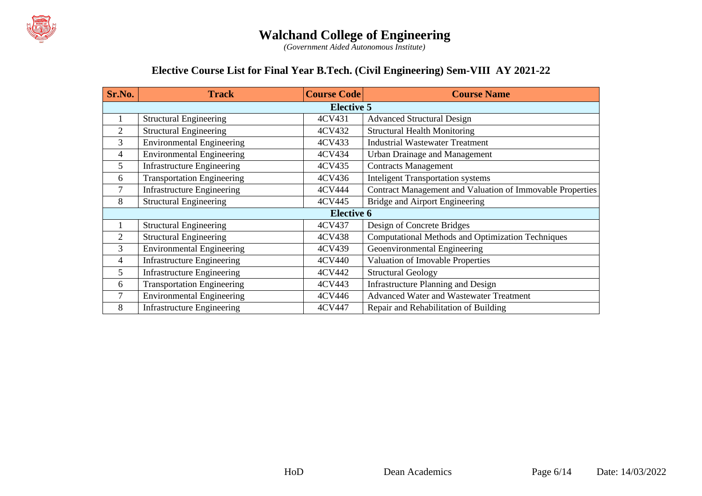

*(Government Aided Autonomous Institute)*

#### **Elective Course List for Final Year B.Tech. (Civil Engineering) Sem-VIII AY 2021-22**

| Sr.No. | <b>Track</b>                      | <b>Course Code</b> | <b>Course Name</b>                                        |
|--------|-----------------------------------|--------------------|-----------------------------------------------------------|
|        |                                   | <b>Elective 5</b>  |                                                           |
| 1      | <b>Structural Engineering</b>     | 4CV431             | <b>Advanced Structural Design</b>                         |
| 2      | <b>Structural Engineering</b>     | 4CV432             | <b>Structural Health Monitoring</b>                       |
| 3      | <b>Environmental Engineering</b>  | 4CV433             | <b>Industrial Wastewater Treatment</b>                    |
| 4      | <b>Environmental Engineering</b>  | 4CV434             | <b>Urban Drainage and Management</b>                      |
| 5      | <b>Infrastructure Engineering</b> | 4CV435             | <b>Contracts Management</b>                               |
| 6      | <b>Transportation Engineering</b> | 4CV436             | <b>Inteligent Transportation systems</b>                  |
| 7      | <b>Infrastructure Engineering</b> | 4CV444             | Contract Management and Valuation of Immovable Properties |
| 8      | <b>Structural Engineering</b>     | 4CV445             | Bridge and Airport Engineering                            |
|        |                                   | <b>Elective 6</b>  |                                                           |
|        | <b>Structural Engineering</b>     | 4CV437             | Design of Concrete Bridges                                |
| 2      | <b>Structural Engineering</b>     | 4CV438             | <b>Computational Methods and Optimization Techniques</b>  |
| 3      | <b>Environmental Engineering</b>  | 4CV439             | Geoenvironmental Engineering                              |
| 4      | <b>Infrastructure Engineering</b> | 4CV440             | Valuation of Imovable Properties                          |
| 5      | <b>Infrastructure Engineering</b> | 4CV442             | <b>Structural Geology</b>                                 |
| 6      | <b>Transportation Engineering</b> | 4CV443             | <b>Infrastructure Planning and Design</b>                 |
| 7      | <b>Environmental Engineering</b>  | 4CV446             | <b>Advanced Water and Wastewater Treatment</b>            |
| 8      | <b>Infrastructure Engineering</b> | 4CV447             | Repair and Rehabilitation of Building                     |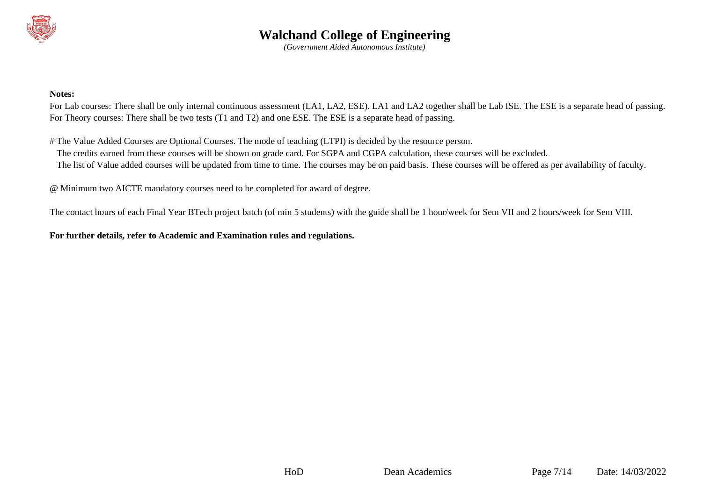

*(Government Aided Autonomous Institute)*

#### **Notes:**

For Lab courses: There shall be only internal continuous assessment (LA1, LA2, ESE). LA1 and LA2 together shall be Lab ISE. The ESE is a separate head of passing. For Theory courses: There shall be two tests (T1 and T2) and one ESE. The ESE is a separate head of passing.

# The Value Added Courses are Optional Courses. The mode of teaching (LTPI) is decided by the resource person.

The credits earned from these courses will be shown on grade card. For SGPA and CGPA calculation, these courses will be excluded.

The list of Value added courses will be updated from time to time. The courses may be on paid basis. These courses will be offered as per availability of faculty.

@ Minimum two AICTE mandatory courses need to be completed for award of degree.

The contact hours of each Final Year BTech project batch (of min 5 students) with the guide shall be 1 hour/week for Sem VII and 2 hours/week for Sem VIII.

**For further details, refer to Academic and Examination rules and regulations.**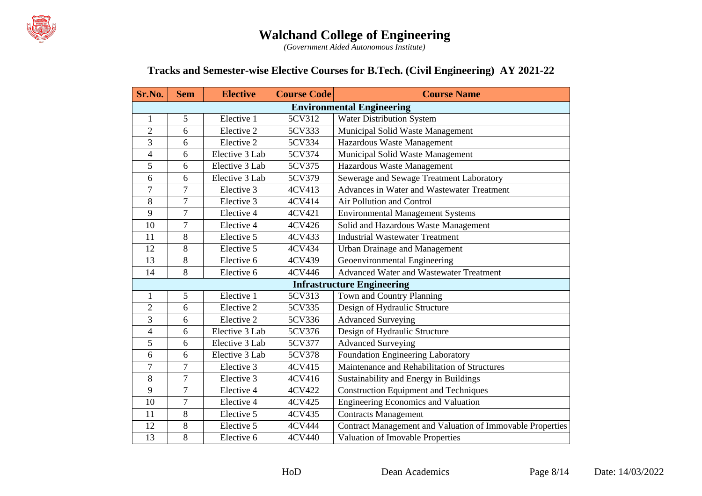

*(Government Aided Autonomous Institute)*

#### **Tracks and Semester-wise Elective Courses for B.Tech. (Civil Engineering) AY 2021-22**

| Sr.No.                   | <b>Sem</b>     | <b>Elective</b> | <b>Course Code</b> | <b>Course Name</b>                                        |
|--------------------------|----------------|-----------------|--------------------|-----------------------------------------------------------|
|                          |                |                 |                    | <b>Environmental Engineering</b>                          |
| 1                        | 5              | Elective 1      | 5CV312             | Water Distribution System                                 |
| $\overline{2}$           | 6              | Elective 2      | 5CV333             | Municipal Solid Waste Management                          |
| $\overline{3}$           | 6              | Elective 2      | 5CV334             | Hazardous Waste Management                                |
| $\overline{\mathcal{A}}$ | 6              | Elective 3 Lab  | 5CV374             | Municipal Solid Waste Management                          |
| 5                        | 6              | Elective 3 Lab  | 5CV375             | Hazardous Waste Management                                |
| 6                        | 6              | Elective 3 Lab  | 5CV379             | Sewerage and Sewage Treatment Laboratory                  |
| 7                        | 7              | Elective 3      | 4CV413             | Advances in Water and Wastewater Treatment                |
| 8                        | $\overline{7}$ | Elective 3      | 4CV414             | Air Pollution and Control                                 |
| 9                        | $\overline{7}$ | Elective 4      | 4CV421             | <b>Environmental Management Systems</b>                   |
| 10                       | $\overline{7}$ | Elective 4      | 4CV426             | Solid and Hazardous Waste Management                      |
| 11                       | 8              | Elective 5      | 4CV433             | <b>Industrial Wastewater Treatment</b>                    |
| 12                       | 8              | Elective 5      | 4CV434             | <b>Urban Drainage and Management</b>                      |
| 13                       | $\overline{8}$ | Elective 6      | 4CV439             | Geoenvironmental Engineering                              |
| 14                       | 8              | Elective 6      | 4CV446             | <b>Advanced Water and Wastewater Treatment</b>            |
|                          |                |                 |                    | <b>Infrastructure Engineering</b>                         |
| $\mathbf{1}$             | 5              | Elective 1      | 5CV313             | Town and Country Planning                                 |
| $\overline{2}$           | 6              | Elective 2      | 5CV335             | Design of Hydraulic Structure                             |
| 3                        | 6              | Elective 2      | 5CV336             | <b>Advanced Surveying</b>                                 |
| $\overline{4}$           | 6              | Elective 3 Lab  | 5CV376             | Design of Hydraulic Structure                             |
| 5                        | 6              | Elective 3 Lab  | 5CV377             | <b>Advanced Surveying</b>                                 |
| 6                        | 6              | Elective 3 Lab  | 5CV378             | Foundation Engineering Laboratory                         |
| $\overline{7}$           | $\tau$         | Elective 3      | 4CV415             | Maintenance and Rehabilitation of Structures              |
| 8                        | $\overline{7}$ | Elective 3      | 4CV416             | Sustainability and Energy in Buildings                    |
| 9                        | $\overline{7}$ | Elective 4      | 4CV422             | <b>Construction Equipment and Techniques</b>              |
| 10                       | $\tau$         | Elective 4      | 4CV425             | Engineering Economics and Valuation                       |
| 11                       | $\,8\,$        | Elective 5      | 4CV435             | <b>Contracts Management</b>                               |
| 12                       | $8\,$          | Elective 5      | 4CV444             | Contract Management and Valuation of Immovable Properties |
| 13                       | 8              | Elective 6      | 4CV440             | Valuation of Imovable Properties                          |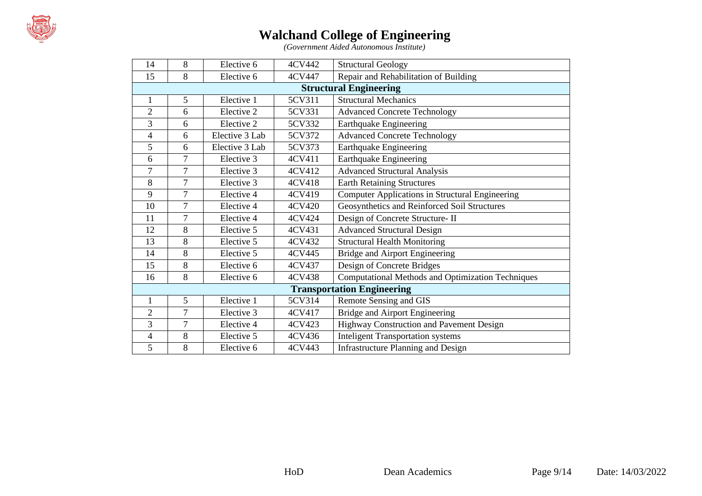

*(Government Aided Autonomous Institute)*

| 14             | 8              | Elective 6     | 4CV442 | <b>Structural Geology</b>                                |
|----------------|----------------|----------------|--------|----------------------------------------------------------|
| 15             | 8              | Elective 6     | 4CV447 | Repair and Rehabilitation of Building                    |
|                |                |                |        | <b>Structural Engineering</b>                            |
| 1              | 5              | Elective 1     | 5CV311 | <b>Structural Mechanics</b>                              |
| $\overline{c}$ | 6              | Elective 2     | 5CV331 | <b>Advanced Concrete Technology</b>                      |
| 3              | 6              | Elective 2     | 5CV332 | <b>Earthquake Engineering</b>                            |
| $\overline{4}$ | 6              | Elective 3 Lab | 5CV372 | <b>Advanced Concrete Technology</b>                      |
| 5              | 6              | Elective 3 Lab | 5CV373 | <b>Earthquake Engineering</b>                            |
| 6              | $\overline{7}$ | Elective 3     | 4CV411 | <b>Earthquake Engineering</b>                            |
| $\overline{7}$ | $\overline{7}$ | Elective 3     | 4CV412 | <b>Advanced Structural Analysis</b>                      |
| 8              | $\overline{7}$ | Elective 3     | 4CV418 | <b>Earth Retaining Structures</b>                        |
| 9              | $\overline{7}$ | Elective 4     | 4CV419 | <b>Computer Applications in Structural Engineering</b>   |
| 10             | $\overline{7}$ | Elective 4     | 4CV420 | Geosynthetics and Reinforced Soil Structures             |
| 11             | $\overline{7}$ | Elective 4     | 4CV424 | Design of Concrete Structure- II                         |
| 12             | 8              | Elective 5     | 4CV431 | <b>Advanced Structural Design</b>                        |
| 13             | 8              | Elective 5     | 4CV432 | <b>Structural Health Monitoring</b>                      |
| 14             | 8              | Elective 5     | 4CV445 | Bridge and Airport Engineering                           |
| 15             | 8              | Elective 6     | 4CV437 | Design of Concrete Bridges                               |
| 16             | 8              | Elective 6     | 4CV438 | <b>Computational Methods and Optimization Techniques</b> |
|                |                |                |        | <b>Transportation Engineering</b>                        |
| $\mathbf{1}$   | 5              | Elective 1     | 5CV314 | Remote Sensing and GIS                                   |
| $\overline{2}$ | $\overline{7}$ | Elective 3     | 4CV417 | Bridge and Airport Engineering                           |
| 3              | $\overline{7}$ | Elective 4     | 4CV423 | Highway Construction and Pavement Design                 |
| $\overline{4}$ | 8              | Elective 5     | 4CV436 | <b>Inteligent Transportation systems</b>                 |
| 5              | 8              | Elective 6     | 4CV443 | <b>Infrastructure Planning and Design</b>                |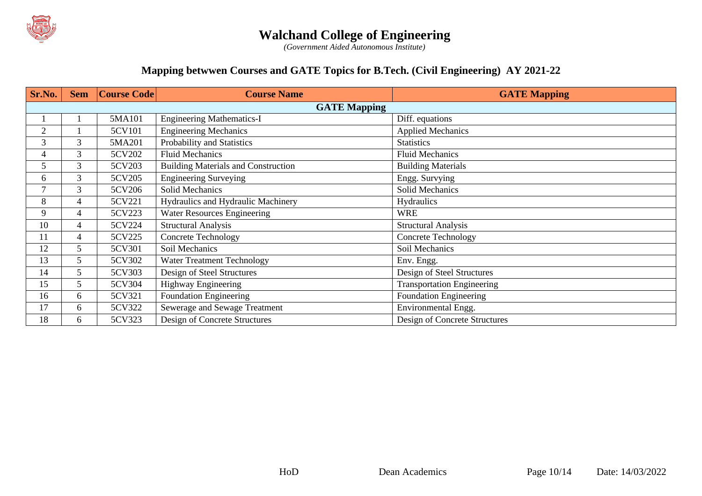

*(Government Aided Autonomous Institute)*

#### **Mapping betwwen Courses and GATE Topics for B.Tech. (Civil Engineering) AY 2021-22**

| Sr.No.         | <b>Sem</b>     | Course Code | <b>Course Name</b>                         | <b>GATE Mapping</b>               |  |  |
|----------------|----------------|-------------|--------------------------------------------|-----------------------------------|--|--|
|                |                |             | <b>GATE Mapping</b>                        |                                   |  |  |
|                |                | 5MA101      | <b>Engineering Mathematics-I</b>           | Diff. equations                   |  |  |
| $\mathfrak{2}$ |                | 5CV101      | <b>Engineering Mechanics</b>               | <b>Applied Mechanics</b>          |  |  |
| 3              | 3              | 5MA201      | Probability and Statistics                 | <b>Statistics</b>                 |  |  |
| 4              | 3              | 5CV202      | <b>Fluid Mechanics</b>                     | <b>Fluid Mechanics</b>            |  |  |
| 5              | 3              | 5CV203      | <b>Building Materials and Construction</b> | <b>Building Materials</b>         |  |  |
| 6              | 3              | 5CV205      | <b>Engineering Surveying</b>               | Engg. Survying                    |  |  |
| 7              | 3              | 5CV206      | <b>Solid Mechanics</b>                     | Solid Mechanics                   |  |  |
| 8              | $\overline{4}$ | 5CV221      | Hydraulics and Hydraulic Machinery         | Hydraulics                        |  |  |
| 9              | $\overline{4}$ | 5CV223      | <b>Water Resources Engineering</b>         | <b>WRE</b>                        |  |  |
| 10             | 4              | 5CV224      | <b>Structural Analysis</b>                 | <b>Structural Analysis</b>        |  |  |
| 11             | 4              | 5CV225      | <b>Concrete Technology</b>                 | <b>Concrete Technology</b>        |  |  |
| 12             | 5              | 5CV301      | Soil Mechanics                             | Soil Mechanics                    |  |  |
| 13             | 5              | 5CV302      | <b>Water Treatment Technology</b>          | Env. Engg.                        |  |  |
| 14             | 5              | 5CV303      | Design of Steel Structures                 | Design of Steel Structures        |  |  |
| 15             | 5              | 5CV304      | <b>Highway Engineering</b>                 | <b>Transportation Engineering</b> |  |  |
| 16             | 6              | 5CV321      | <b>Foundation Engineering</b>              | <b>Foundation Engineering</b>     |  |  |
| 17             | 6              | 5CV322      | Sewerage and Sewage Treatment              | Environmental Engg.               |  |  |
| 18             | 6              | 5CV323      | Design of Concrete Structures              | Design of Concrete Structures     |  |  |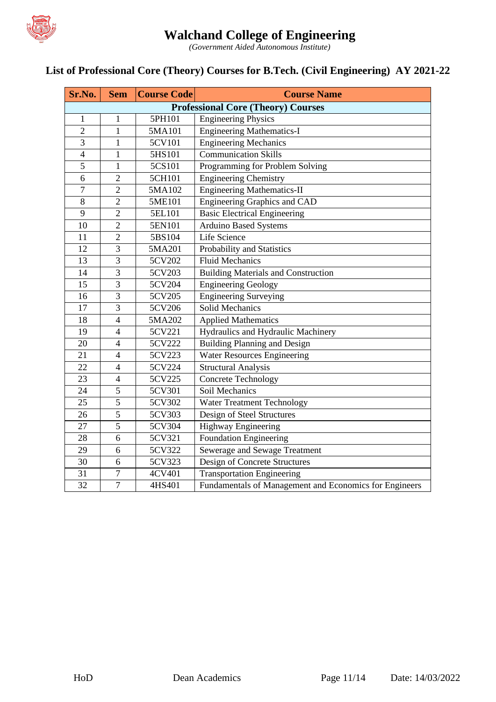

*(Government Aided Autonomous Institute)*

# **List of Professional Core (Theory) Courses for B.Tech. (Civil Engineering) AY 2021-22**

| Sr.No.         | <b>Sem</b>     | <b>Course Code</b> | <b>Course Name</b>                                     |
|----------------|----------------|--------------------|--------------------------------------------------------|
|                |                |                    | <b>Professional Core (Theory) Courses</b>              |
| $\mathbf{1}$   | $\mathbf{1}$   | 5PH101             | <b>Engineering Physics</b>                             |
| $\overline{2}$ | $\mathbf{1}$   | 5MA101             | <b>Engineering Mathematics-I</b>                       |
| $\overline{3}$ | $\mathbf{1}$   | 5CV101             | <b>Engineering Mechanics</b>                           |
| $\overline{4}$ | $\mathbf{1}$   | 5HS101             | <b>Communication Skills</b>                            |
| 5              | $\mathbf{1}$   | 5CS101             | Programming for Problem Solving                        |
| 6              | $\overline{2}$ | 5CH101             | <b>Engineering Chemistry</b>                           |
| $\overline{7}$ | $\overline{2}$ | 5MA102             | <b>Engineering Mathematics-II</b>                      |
| 8              | $\overline{2}$ | 5ME101             | Engineering Graphics and CAD                           |
| $\overline{9}$ | $\overline{2}$ | 5EL101             | <b>Basic Electrical Engineering</b>                    |
| 10             | $\overline{2}$ | 5EN101             | <b>Arduino Based Systems</b>                           |
| 11             | $\overline{2}$ | 5BS104             | Life Science                                           |
| 12             | 3              | 5MA201             | Probability and Statistics                             |
| 13             | $\overline{3}$ | 5CV202             | <b>Fluid Mechanics</b>                                 |
| 14             | $\overline{3}$ | 5CV203             | <b>Building Materials and Construction</b>             |
| 15             | $\overline{3}$ | 5CV204             | <b>Engineering Geology</b>                             |
| 16             | $\overline{3}$ | 5CV205             | <b>Engineering Surveying</b>                           |
| 17             | 3              | 5CV206             | <b>Solid Mechanics</b>                                 |
| 18             | $\overline{4}$ | 5MA202             | <b>Applied Mathematics</b>                             |
| 19             | $\overline{4}$ | 5CV221             | Hydraulics and Hydraulic Machinery                     |
| 20             | $\overline{4}$ | 5CV222             | <b>Building Planning and Design</b>                    |
| 21             | $\overline{4}$ | 5CV223             | <b>Water Resources Engineering</b>                     |
| 22             | $\overline{4}$ | 5CV224             | <b>Structural Analysis</b>                             |
| 23             | $\overline{4}$ | 5CV225             | <b>Concrete Technology</b>                             |
| 24             | 5              | 5CV301             | Soil Mechanics                                         |
| 25             | $\overline{5}$ | 5CV302             | Water Treatment Technology                             |
| 26             | $\overline{5}$ | 5CV303             | Design of Steel Structures                             |
| 27             | 5              | 5CV304             | <b>Highway Engineering</b>                             |
| 28             | 6              | 5CV321             | <b>Foundation Engineering</b>                          |
| 29             | 6              | 5CV322             | Sewerage and Sewage Treatment                          |
| 30             | 6              | 5CV323             | Design of Concrete Structures                          |
| 31             | $\tau$         | 4CV401             | <b>Transportation Engineering</b>                      |
| 32             | $\overline{7}$ | 4HS401             | Fundamentals of Management and Economics for Engineers |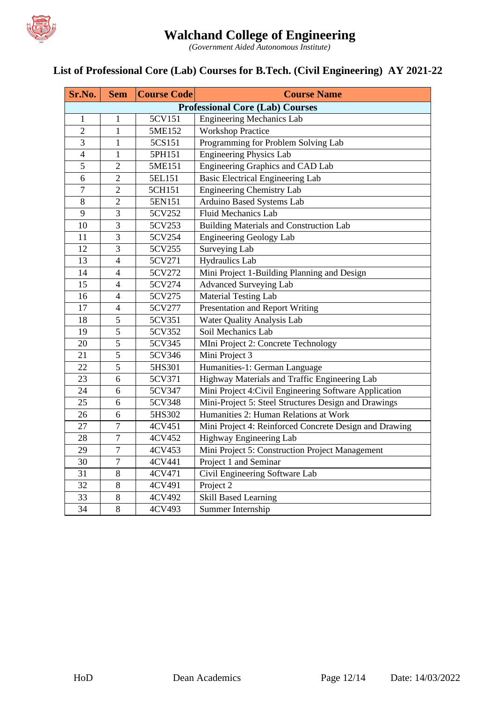

*(Government Aided Autonomous Institute)*

### **List of Professional Core (Lab) Courses for B.Tech. (Civil Engineering) AY 2021-22**

| Sr.No.         | <b>Sem</b>     | <b>Course Code</b> | <b>Course Name</b>                                     |  |  |
|----------------|----------------|--------------------|--------------------------------------------------------|--|--|
|                |                |                    | <b>Professional Core (Lab) Courses</b>                 |  |  |
| 1              | 1              | 5CV151             | <b>Engineering Mechanics Lab</b>                       |  |  |
| $\overline{2}$ | $\mathbf{1}$   | 5ME152             | <b>Workshop Practice</b>                               |  |  |
| $\overline{3}$ | $\mathbf{1}$   | 5CS151             | Programming for Problem Solving Lab                    |  |  |
| $\overline{4}$ | $\mathbf{1}$   | 5PH151             | <b>Engineering Physics Lab</b>                         |  |  |
| 5              | $\overline{2}$ | 5ME151             | Engineering Graphics and CAD Lab                       |  |  |
| 6              | $\overline{2}$ | 5EL151             | <b>Basic Electrical Engineering Lab</b>                |  |  |
| $\overline{7}$ | $\overline{c}$ | 5CH151             | <b>Engineering Chemistry Lab</b>                       |  |  |
| 8              | $\overline{c}$ | 5EN151             | Arduino Based Systems Lab                              |  |  |
| 9              | $\overline{3}$ | 5CV252             | <b>Fluid Mechanics Lab</b>                             |  |  |
| 10             | $\overline{3}$ | 5CV253             | <b>Building Materials and Construction Lab</b>         |  |  |
| 11             | $\overline{3}$ | 5CV254             | <b>Engineering Geology Lab</b>                         |  |  |
| 12             | $\overline{3}$ | 5CV255             | Surveying Lab                                          |  |  |
| 13             | $\overline{4}$ | 5CV271             | <b>Hydraulics</b> Lab                                  |  |  |
| 14             | $\overline{4}$ | 5CV272             | Mini Project 1-Building Planning and Design            |  |  |
| 15             | $\overline{4}$ | 5CV274             | <b>Advanced Surveying Lab</b>                          |  |  |
| 16             | $\overline{4}$ | 5CV275             | <b>Material Testing Lab</b>                            |  |  |
| 17             | $\overline{4}$ | 5CV277             | Presentation and Report Writing                        |  |  |
| 18             | 5              | 5CV351             | Water Quality Analysis Lab                             |  |  |
| 19             | $\overline{5}$ | 5CV352             | Soil Mechanics Lab                                     |  |  |
| 20             | 5              | 5CV345             | MIni Project 2: Concrete Technology                    |  |  |
| 21             | $\overline{5}$ | 5CV346             | Mini Project 3                                         |  |  |
| 22             | 5              | 5HS301             | Humanities-1: German Language                          |  |  |
| 23             | 6              | 5CV371             | Highway Materials and Traffic Engineering Lab          |  |  |
| 24             | 6              | 5CV347             | Mini Project 4: Civil Engineering Software Application |  |  |
| 25             | 6              | 5CV348             | Mini-Project 5: Steel Structures Design and Drawings   |  |  |
| 26             | 6              | 5HS302             | Humanities 2: Human Relations at Work                  |  |  |
| 27             | $\tau$         | 4CV451             | Mini Project 4: Reinforced Concrete Design and Drawing |  |  |
| 28             | $\overline{7}$ | 4CV452             | Highway Engineering Lab                                |  |  |
| 29             | $\tau$         | 4CV453             | Mini Project 5: Construction Project Management        |  |  |
| 30             | $\tau$         | 4CV441             | Project 1 and Seminar                                  |  |  |
| 31             | 8              | 4CV471             | Civil Engineering Software Lab                         |  |  |
| 32             | 8              | 4CV491             | Project 2                                              |  |  |
| 33             | 8              | 4CV492             | <b>Skill Based Learning</b>                            |  |  |
| 34             | 8              | 4CV493             | Summer Internship                                      |  |  |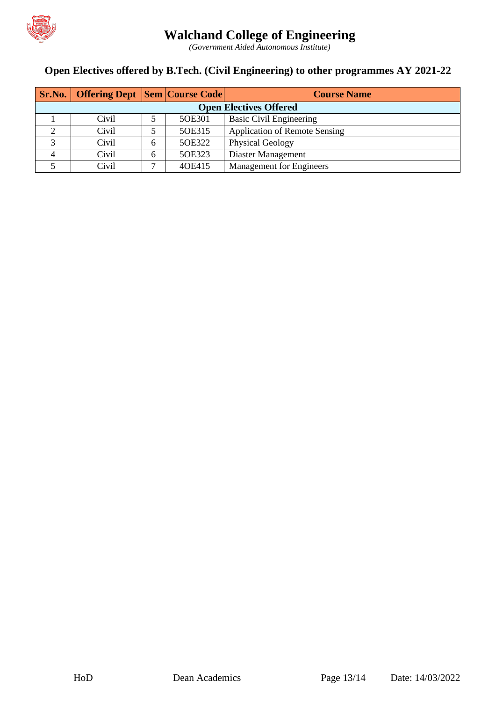

*(Government Aided Autonomous Institute)*

### **Open Electives offered by B.Tech. (Civil Engineering) to other programmes AY 2021-22**

|                               | <b>Sr.No.</b> Offering Dept Sem Course Code |   |        | <b>Course Name</b>                   |  |  |  |  |  |
|-------------------------------|---------------------------------------------|---|--------|--------------------------------------|--|--|--|--|--|
| <b>Open Electives Offered</b> |                                             |   |        |                                      |  |  |  |  |  |
|                               | Civil                                       |   | 5OE301 | <b>Basic Civil Engineering</b>       |  |  |  |  |  |
|                               | Civil                                       |   | 5OE315 | <b>Application of Remote Sensing</b> |  |  |  |  |  |
|                               | Civil                                       | 6 | 5OE322 | <b>Physical Geology</b>              |  |  |  |  |  |
|                               | Civil                                       | 6 | 5OE323 | Diaster Management                   |  |  |  |  |  |
|                               | Civil                                       | ⇁ | 40E415 | <b>Management</b> for Engineers      |  |  |  |  |  |